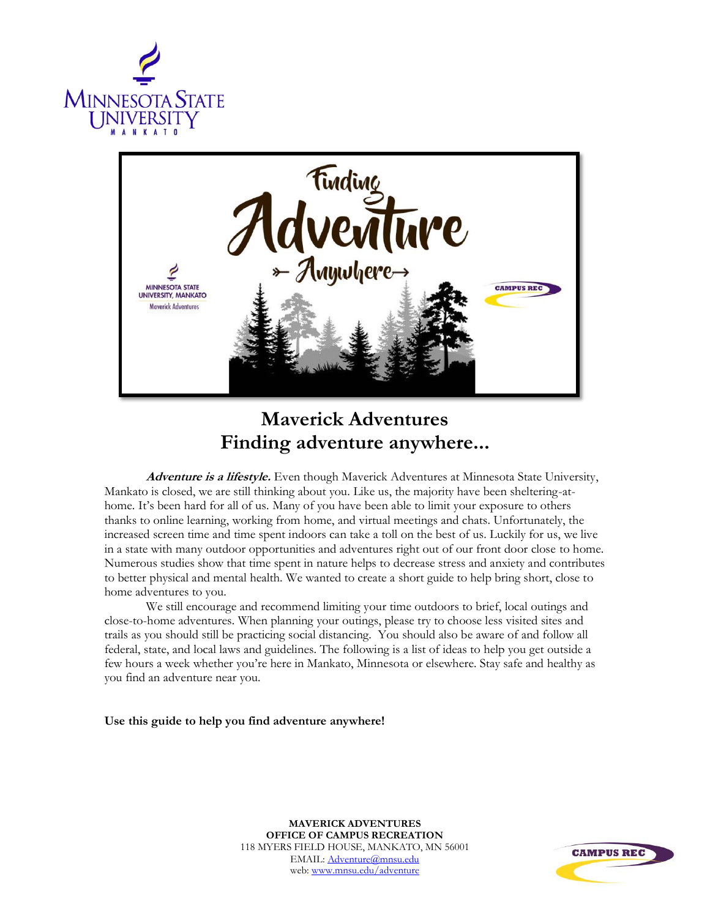



## **Maverick Adventures Finding adventure anywhere...**

**Adventure is a lifestyle.** Even though Maverick Adventures at Minnesota State University, Mankato is closed, we are still thinking about you. Like us, the majority have been sheltering-athome. It's been hard for all of us. Many of you have been able to limit your exposure to others thanks to online learning, working from home, and virtual meetings and chats. Unfortunately, the increased screen time and time spent indoors can take a toll on the best of us. Luckily for us, we live in a state with many outdoor opportunities and adventures right out of our front door close to home. Numerous studies show that time spent in nature helps to decrease stress and anxiety and contributes to better physical and mental health. We wanted to create a short guide to help bring short, close to home adventures to you.

We still encourage and recommend limiting your time outdoors to brief, local outings and close-to-home adventures. When planning your outings, please try to choose less visited sites and trails as you should still be practicing social distancing. You should also be aware of and follow all federal, state, and local laws and guidelines. The following is a list of ideas to help you get outside a few hours a week whether you're here in Mankato, Minnesota or elsewhere. Stay safe and healthy as you find an adventure near you.

**Use this guide to help you find adventure anywhere!**

**MAVERICK ADVENTURES OFFICE OF CAMPUS RECREATION** 118 MYERS FIELD HOUSE, MANKATO, MN 56001 EMAIL[: Adventure@mnsu.edu](mailto:Adventure@mnsu.edu) web: [www.mnsu.edu/adventure](http://www.mnsu.edu/adventure)

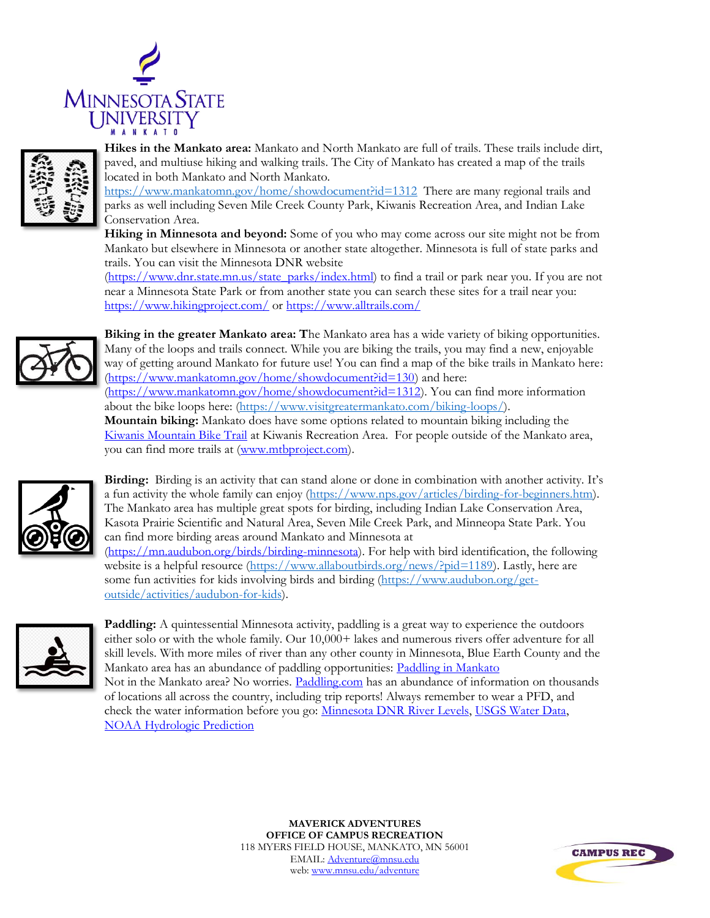



**Hikes in the Mankato area:** Mankato and North Mankato are full of trails. These trails include dirt, paved, and multiuse hiking and walking trails. The City of Mankato has created a map of the trails located in both Mankato and North Mankato.

<https://www.mankatomn.gov/home/showdocument?id=1312>There are many regional trails and parks as well including Seven Mile Creek County Park, Kiwanis Recreation Area, and Indian Lake Conservation Area.

**Hiking in Minnesota and beyond:** Some of you who may come across our site might not be from Mankato but elsewhere in Minnesota or another state altogether. Minnesota is full of state parks and trails. You can visit the Minnesota DNR website

[\(https://www.dnr.state.mn.us/state\\_parks/index.html\)](https://www.dnr.state.mn.us/state_parks/index.html) to find a trail or park near you. If you are not near a Minnesota State Park or from another state you can search these sites for a trail near you: <https://www.hikingproject.com/> or<https://www.alltrails.com/>



**Biking in the greater Mankato area: T**he Mankato area has a wide variety of biking opportunities. Many of the loops and trails connect. While you are biking the trails, you may find a new, enjoyable way of getting around Mankato for future use! You can find a map of the bike trails in Mankato here: [\(https://www.mankatomn.gov/home/showdocument?id=130\)](https://www.mankatomn.gov/home/showdocument?id=130) and here: [\(https://www.mankatomn.gov/home/showdocument?id=1312\)](https://www.mankatomn.gov/home/showdocument?id=1312). You can find more information about the bike loops here: [\(https://www.visitgreatermankato.com/biking-loops/\)](https://www.visitgreatermankato.com/biking-loops/). **Mountain biking:** Mankato does have some options related to mountain biking including the [Kiwanis Mountain Bike Trail](https://www.mtbproject.com/trail/7004427/kiwanis-mountain-bike-trail-mankato) at Kiwanis Recreation Area. For people outside of the Mankato area, you can find more trails at [\(www.mtbproject.com\)](http://www.mtbproject.com/).



**Birding:** Birding is an activity that can stand alone or done in combination with another activity. It's a fun activity the whole family can enjoy (https://www.nps.gov/articles/birding-for-beginners.htm). The Mankato area has multiple great spots for birding, including Indian Lake Conservation Area, Kasota Prairie Scientific and Natural Area, Seven Mile Creek Park, and Minneopa State Park. You can find more birding areas around Mankato and Minnesota at [\(https://mn.audubon.org/birds/birding-minnesota\)](https://mn.audubon.org/birds/birding-minnesota). For help with bird identification, the following

website is a helpful resource (https://www.allaboutbirds.org/news/?pid=1189). Lastly, here are some fun activities for kids involving birds and birding [\(https://www.audubon.org/get](https://www.audubon.org/get-outside/activities/audubon-for-kids)[outside/activities/audubon-for-kids\)](https://www.audubon.org/get-outside/activities/audubon-for-kids).



Paddling: A quintessential Minnesota activity, paddling is a great way to experience the outdoors either solo or with the whole family. Our 10,000+ lakes and numerous rivers offer adventure for all skill levels. With more miles of river than any other county in Minnesota, Blue Earth County and the Mankato area has an abundance of paddling opportunities: [Paddling in Mankato](https://www.visitgreatermankato.com/mankato/explore/water-adventure/) Not in the Mankato area? No worries. [Paddling.com](https://paddling.com/paddle/locations/) has an abundance of information on thousands of locations all across the country, including trip reports! Always remember to wear a PFD, and check the water information before you go: [Minnesota DNR River Levels,](https://www.dnr.state.mn.us/river_levels/index.html) [USGS Water Data,](https://waterdata.usgs.gov/nwis/uv?site_no=05320000)

[NOAA Hydrologic Prediction](https://water.weather.gov/ahps2/hydrograph.php?wfo=mpx&gage=rapm5)

**MAVERICK ADVENTURES OFFICE OF CAMPUS RECREATION** 118 MYERS FIELD HOUSE, MANKATO, MN 56001 EMAIL[: Adventure@mnsu.edu](mailto:Adventure@mnsu.edu) web: [www.mnsu.edu/adventure](http://www.mnsu.edu/adventure)

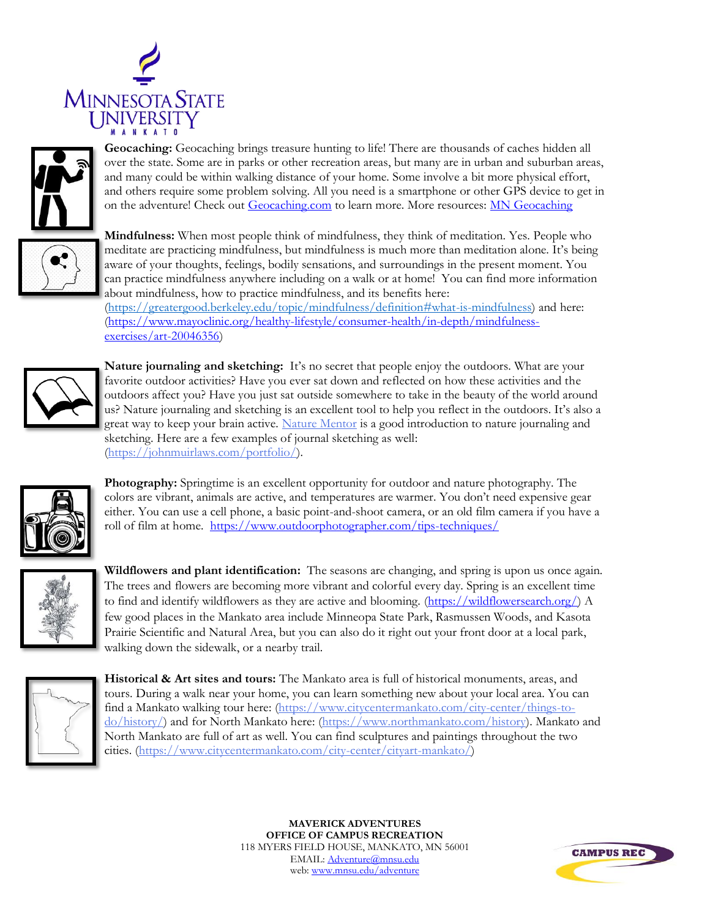



**Geocaching:** Geocaching brings treasure hunting to life! There are thousands of caches hidden all over the state. Some are in parks or other recreation areas, but many are in urban and suburban areas, and many could be within walking distance of your home. Some involve a bit more physical effort, and others require some problem solving. All you need is a smartphone or other GPS device to get in on the adventure! Check out [Geocaching.com](https://www.geocaching.com/play/search) to learn more. More resources: [MN Geocaching](https://www.dnr.state.mn.us/geocaching/index.html)



**Mindfulness:** When most people think of mindfulness, they think of meditation. Yes. People who meditate are practicing mindfulness, but mindfulness is much more than meditation alone. It's being aware of your thoughts, feelings, bodily sensations, and surroundings in the present moment. You can practice mindfulness anywhere including on a walk or at home! You can find more information about mindfulness, how to practice mindfulness, and its benefits here:

[\(https://greatergood.berkeley.edu/topic/mindfulness/definition#what-is-mindfulness\)](https://greatergood.berkeley.edu/topic/mindfulness/definition#what-is-mindfulness) and here: [\(https://www.mayoclinic.org/healthy-lifestyle/consumer-health/in-depth/mindfulness](https://www.mayoclinic.org/healthy-lifestyle/consumer-health/in-depth/mindfulness-exercises/art-20046356)[exercises/art-20046356\)](https://www.mayoclinic.org/healthy-lifestyle/consumer-health/in-depth/mindfulness-exercises/art-20046356)



**Nature journaling and sketching:** It's no secret that people enjoy the outdoors. What are your favorite outdoor activities? Have you ever sat down and reflected on how these activities and the outdoors affect you? Have you just sat outside somewhere to take in the beauty of the world around us? Nature journaling and sketching is an excellent tool to help you reflect in the outdoors. It's also a great way to keep your brain active. [Nature Mentor](https://nature-mentor.com/nature-journaling/) is a good introduction to nature journaling and sketching. Here are a few examples of journal sketching as well: [\(https://johnmuirlaws.com/portfolio/\)](https://johnmuirlaws.com/portfolio/).



**Photography:** Springtime is an excellent opportunity for outdoor and nature photography. The colors are vibrant, animals are active, and temperatures are warmer. You don't need expensive gear either. You can use a cell phone, a basic point-and-shoot camera, or an old film camera if you have a roll of film at home. <https://www.outdoorphotographer.com/tips-techniques/>

**Wildflowers and plant identification:** The seasons are changing, and spring is upon us once again. The trees and flowers are becoming more vibrant and colorful every day. Spring is an excellent time to find and identify wildflowers as they are active and blooming. [\(https://wildflowersearch.org/\)](https://wildflowersearch.org/) A few good places in the Mankato area include Minneopa State Park, Rasmussen Woods, and Kasota Prairie Scientific and Natural Area, but you can also do it right out your front door at a local park, walking down the sidewalk, or a nearby trail.



**Historical & Art sites and tours:** The Mankato area is full of historical monuments, areas, and tours. During a walk near your home, you can learn something new about your local area. You can find a Mankato walking tour here: [\(https://www.citycentermankato.com/city-center/things-to](https://www.citycentermankato.com/city-center/things-to-do/history/)[do/history/\)](https://www.citycentermankato.com/city-center/things-to-do/history/) and for North Mankato here: [\(https://www.northmankato.com/history\)](https://www.northmankato.com/history). Mankato and North Mankato are full of art as well. You can find sculptures and paintings throughout the two cities. [\(https://www.citycentermankato.com/city-center/cityart-mankato/\)](https://www.citycentermankato.com/city-center/cityart-mankato/)

> **MAVERICK ADVENTURES OFFICE OF CAMPUS RECREATION** 118 MYERS FIELD HOUSE, MANKATO, MN 56001 EMAIL[: Adventure@mnsu.edu](mailto:Adventure@mnsu.edu) web: [www.mnsu.edu/adventure](http://www.mnsu.edu/adventure)